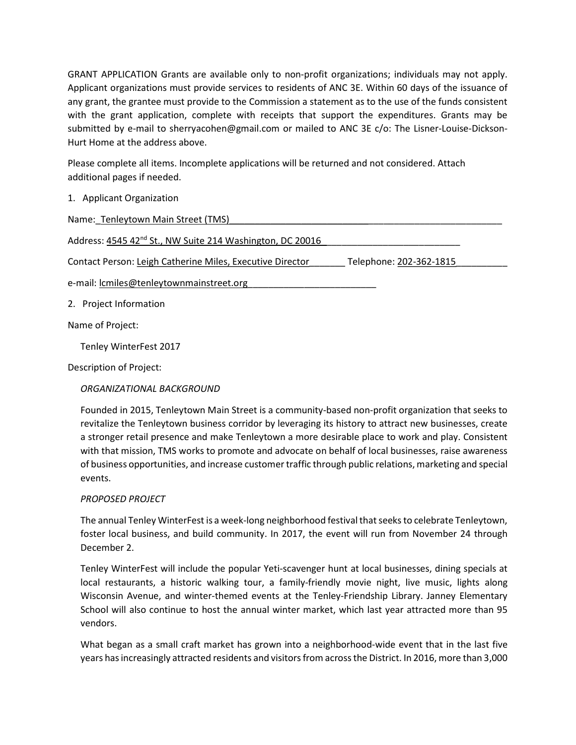GRANT APPLICATION Grants are available only to non-profit organizations; individuals may not apply. Applicant organizations must provide services to residents of ANC 3E. Within 60 days of the issuance of any grant, the grantee must provide to the Commission a statement as to the use of the funds consistent with the grant application, complete with receipts that support the expenditures. Grants may be submitted by e-mail to sherryacohen@gmail.com or mailed to ANC 3E c/o: The Lisner-Louise-Dickson-Hurt Home at the address above.

Please complete all items. Incomplete applications will be returned and not considered. Attach additional pages if needed.

1. Applicant Organization

| Name: Tenleytown Main Street (TMS)                                                   |  |
|--------------------------------------------------------------------------------------|--|
| Address: 4545 42 <sup>nd</sup> St., NW Suite 214 Washington, DC 20016                |  |
| Contact Person: Leigh Catherine Miles, Executive Director<br>Telephone: 202-362-1815 |  |
| e-mail: lcmiles@tenleytownmainstreet.org                                             |  |
| 2. Project Information                                                               |  |
| Name of Project:                                                                     |  |
|                                                                                      |  |

Tenley WinterFest 2017

Description of Project:

ORGANIZATIONAL BACKGROUND

Founded in 2015, Tenleytown Main Street is a community-based non-profit organization that seeks to revitalize the Tenleytown business corridor by leveraging its history to attract new businesses, create a stronger retail presence and make Tenleytown a more desirable place to work and play. Consistent with that mission, TMS works to promote and advocate on behalf of local businesses, raise awareness of business opportunities, and increase customer traffic through public relations, marketing and special events.

## PROPOSED PROJECT

The annual Tenley WinterFest is a week-long neighborhood festival that seeks to celebrate Tenleytown, foster local business, and build community. In 2017, the event will run from November 24 through December 2.

Tenley WinterFest will include the popular Yeti-scavenger hunt at local businesses, dining specials at local restaurants, a historic walking tour, a family-friendly movie night, live music, lights along Wisconsin Avenue, and winter-themed events at the Tenley-Friendship Library. Janney Elementary School will also continue to host the annual winter market, which last year attracted more than 95 vendors.

What began as a small craft market has grown into a neighborhood-wide event that in the last five years has increasingly attracted residents and visitors from across the District. In 2016, more than 3,000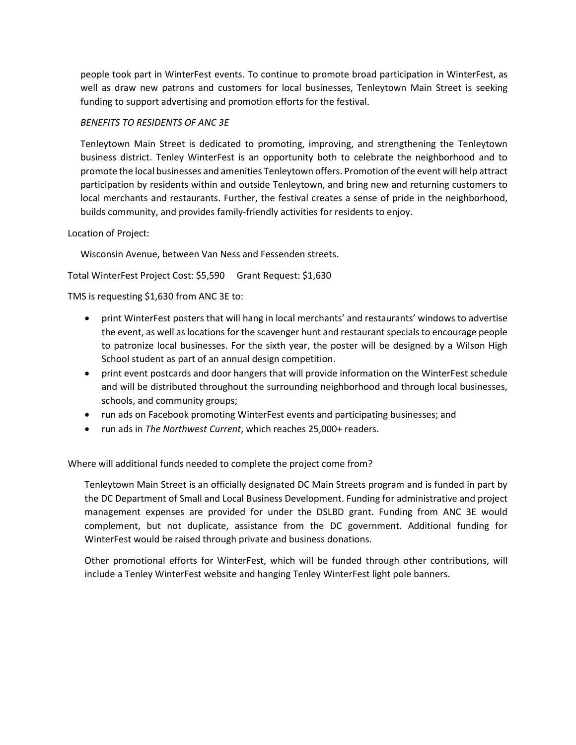people took part in WinterFest events. To continue to promote broad participation in WinterFest, as well as draw new patrons and customers for local businesses, Tenleytown Main Street is seeking funding to support advertising and promotion efforts for the festival.

## BENEFITS TO RESIDENTS OF ANC 3E

Tenleytown Main Street is dedicated to promoting, improving, and strengthening the Tenleytown business district. Tenley WinterFest is an opportunity both to celebrate the neighborhood and to promote the local businesses and amenities Tenleytown offers. Promotion of the event will help attract participation by residents within and outside Tenleytown, and bring new and returning customers to local merchants and restaurants. Further, the festival creates a sense of pride in the neighborhood, builds community, and provides family-friendly activities for residents to enjoy.

## Location of Project:

Wisconsin Avenue, between Van Ness and Fessenden streets.

Total WinterFest Project Cost: \$5,590 Grant Request: \$1,630

## TMS is requesting \$1,630 from ANC 3E to:

- print WinterFest posters that will hang in local merchants' and restaurants' windows to advertise the event, as well as locations for the scavenger hunt and restaurant specials to encourage people to patronize local businesses. For the sixth year, the poster will be designed by a Wilson High School student as part of an annual design competition.
- print event postcards and door hangers that will provide information on the WinterFest schedule and will be distributed throughout the surrounding neighborhood and through local businesses, schools, and community groups;
- run ads on Facebook promoting WinterFest events and participating businesses; and
- run ads in The Northwest Current, which reaches 25,000+ readers.

Where will additional funds needed to complete the project come from?

Tenleytown Main Street is an officially designated DC Main Streets program and is funded in part by the DC Department of Small and Local Business Development. Funding for administrative and project management expenses are provided for under the DSLBD grant. Funding from ANC 3E would complement, but not duplicate, assistance from the DC government. Additional funding for WinterFest would be raised through private and business donations.

Other promotional efforts for WinterFest, which will be funded through other contributions, will include a Tenley WinterFest website and hanging Tenley WinterFest light pole banners.